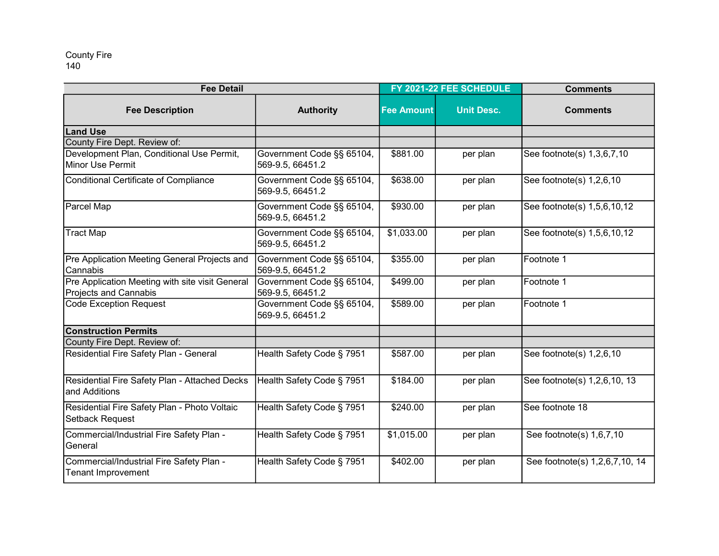## 140 County Fire

| <b>Fee Detail</b>                                                               |                                               | FY 2021-22 FEE SCHEDULE |                   | <b>Comments</b>                |
|---------------------------------------------------------------------------------|-----------------------------------------------|-------------------------|-------------------|--------------------------------|
| <b>Fee Description</b>                                                          | <b>Authority</b>                              | <b>Fee Amount</b>       | <b>Unit Desc.</b> | <b>Comments</b>                |
| <b>Land Use</b>                                                                 |                                               |                         |                   |                                |
| County Fire Dept. Review of:                                                    |                                               |                         |                   |                                |
| Development Plan, Conditional Use Permit,<br>Minor Use Permit                   | Government Code §§ 65104,<br>569-9.5, 66451.2 | \$881.00                | per plan          | See footnote(s) 1,3,6,7,10     |
| Conditional Certificate of Compliance                                           | Government Code §§ 65104,<br>569-9.5, 66451.2 | \$638.00                | per plan          | See footnote(s) 1,2,6,10       |
| Parcel Map                                                                      | Government Code §§ 65104,<br>569-9.5, 66451.2 | \$930.00                | per plan          | See footnote(s) 1,5,6,10,12    |
| <b>Tract Map</b>                                                                | Government Code §§ 65104,<br>569-9.5, 66451.2 | \$1,033.00              | per plan          | See footnote(s) 1,5,6,10,12    |
| Pre Application Meeting General Projects and<br>Cannabis                        | Government Code §§ 65104,<br>569-9.5, 66451.2 | \$355.00                | per plan          | Footnote 1                     |
| Pre Application Meeting with site visit General<br><b>Projects and Cannabis</b> | Government Code §§ 65104,<br>569-9.5, 66451.2 | \$499.00                | per plan          | Footnote 1                     |
| <b>Code Exception Request</b>                                                   | Government Code §§ 65104,<br>569-9.5, 66451.2 | \$589.00                | per plan          | Footnote 1                     |
| <b>Construction Permits</b>                                                     |                                               |                         |                   |                                |
| County Fire Dept. Review of:                                                    |                                               |                         |                   |                                |
| Residential Fire Safety Plan - General                                          | Health Safety Code § 7951                     | \$587.00                | per plan          | See footnote(s) 1,2,6,10       |
| Residential Fire Safety Plan - Attached Decks<br>and Additions                  | Health Safety Code § 7951                     | \$184.00                | per plan          | See footnote(s) 1,2,6,10, 13   |
| Residential Fire Safety Plan - Photo Voltaic<br>Setback Request                 | Health Safety Code § 7951                     | \$240.00                | per plan          | See footnote 18                |
| Commercial/Industrial Fire Safety Plan -<br>General                             | Health Safety Code § 7951                     | \$1,015.00              | per plan          | See footnote(s) $1,6,7,10$     |
| Commercial/Industrial Fire Safety Plan -<br><b>Tenant Improvement</b>           | Health Safety Code § 7951                     | \$402.00                | per plan          | See footnote(s) 1,2,6,7,10, 14 |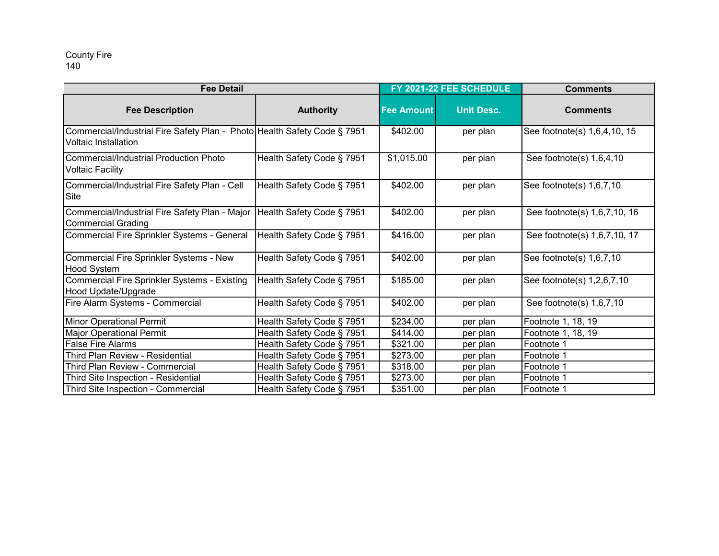## 140 County Fire

| <b>Fee Detail</b>                                                                                |                           | FY 2021-22 FEE SCHEDULE |                   | <b>Comments</b>              |
|--------------------------------------------------------------------------------------------------|---------------------------|-------------------------|-------------------|------------------------------|
| <b>Fee Description</b>                                                                           | <b>Authority</b>          | <b>Fee Amount</b>       | <b>Unit Desc.</b> | <b>Comments</b>              |
| Commercial/Industrial Fire Safety Plan - Photo Health Safety Code § 7951<br>Voltaic Installation |                           | \$402.00                | per plan          | See footnote(s) 1,6,4,10, 15 |
| Commercial/Industrial Production Photo<br><b>Voltaic Facility</b>                                | Health Safety Code § 7951 | \$1,015.00              | per plan          | See footnote(s) $1,6,4,10$   |
| Commercial/Industrial Fire Safety Plan - Cell<br>Site                                            | Health Safety Code § 7951 | \$402.00                | per plan          | See footnote(s) $1,6,7,10$   |
| Commercial/Industrial Fire Safety Plan - Major<br><b>Commercial Grading</b>                      | Health Safety Code § 7951 | \$402.00                | per plan          | See footnote(s) 1,6,7,10, 16 |
| Commercial Fire Sprinkler Systems - General                                                      | Health Safety Code § 7951 | \$416.00                | per plan          | See footnote(s) 1,6,7,10, 17 |
| Commercial Fire Sprinkler Systems - New<br>Hood System                                           | Health Safety Code § 7951 | \$402.00                | per plan          | See footnote(s) $1,6,7,10$   |
| <b>Commercial Fire Sprinkler Systems - Existing</b><br>Hood Update/Upgrade                       | Health Safety Code § 7951 | \$185.00                | per plan          | See footnote(s) 1,2,6,7,10   |
| Fire Alarm Systems - Commercial                                                                  | Health Safety Code § 7951 | \$402.00                | per plan          | See footnote(s) 1,6,7,10     |
| <b>Minor Operational Permit</b>                                                                  | Health Safety Code § 7951 | \$234.00                | per plan          | Footnote 1, 18, 19           |
| <b>Major Operational Permit</b>                                                                  | Health Safety Code § 7951 | \$414.00                | per plan          | Footnote 1, 18, 19           |
| <b>False Fire Alarms</b>                                                                         | Health Safety Code § 7951 | \$321.00                | per plan          | Footnote 1                   |
| Third Plan Review - Residential                                                                  | Health Safety Code § 7951 | \$273.00                | per plan          | Footnote 1                   |
| Third Plan Review - Commercial                                                                   | Health Safety Code § 7951 | \$318.00                | per plan          | Footnote 1                   |
| Third Site Inspection - Residential                                                              | Health Safety Code § 7951 | \$273.00                | per plan          | Footnote 1                   |
| Third Site Inspection - Commercial                                                               | Health Safety Code § 7951 | \$351.00                | per plan          | Footnote 1                   |